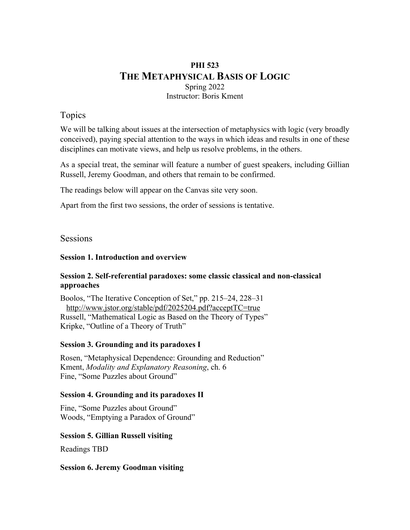# **PHI 523 THE METAPHYSICAL BASIS OF LOGIC** Spring 2022 Instructor: Boris Kment

# Topics

We will be talking about issues at the intersection of metaphysics with logic (very broadly conceived), paying special attention to the ways in which ideas and results in one of these disciplines can motivate views, and help us resolve problems, in the others.

As a special treat, the seminar will feature a number of guest speakers, including Gillian Russell, Jeremy Goodman, and others that remain to be confirmed.

The readings below will appear on the Canvas site very soon.

Apart from the first two sessions, the order of sessions is tentative.

# Sessions

## **Session 1. Introduction and overview**

# **Session 2. Self-referential paradoxes: some classic classical and non-classical approaches**

Boolos, "The Iterative Conception of Set," pp. 215–24, 228–31 http://www.jstor.org/stable/pdf/2025204.pdf?acceptTC=true Russell, "Mathematical Logic as Based on the Theory of Types" Kripke, "Outline of a Theory of Truth"

## **Session 3. Grounding and its paradoxes I**

Rosen, "Metaphysical Dependence: Grounding and Reduction" Kment, *Modality and Explanatory Reasoning*, ch. 6 Fine, "Some Puzzles about Ground"

#### **Session 4. Grounding and its paradoxes II**

Fine, "Some Puzzles about Ground" Woods, "Emptying a Paradox of Ground"

## **Session 5. Gillian Russell visiting**

Readings TBD

#### **Session 6. Jeremy Goodman visiting**